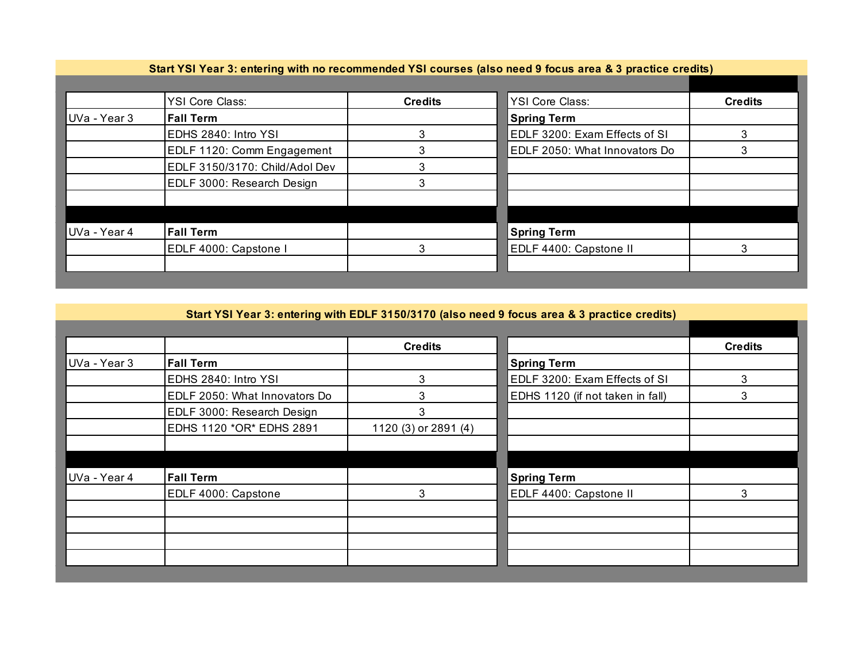| Start YSI Year 3: entering with no recommended YSI courses (also need 9 focus area & 3 practice credits) |                                |                |                               |                |
|----------------------------------------------------------------------------------------------------------|--------------------------------|----------------|-------------------------------|----------------|
|                                                                                                          | <b>YSI Core Class:</b>         | <b>Credits</b> | <b>YSI Core Class:</b>        | <b>Credits</b> |
| UVa - Year 3                                                                                             | <b>Fall Term</b>               |                | <b>Spring Term</b>            |                |
|                                                                                                          | EDHS 2840: Intro YSI           | 3              | EDLF 3200: Exam Effects of SI |                |
|                                                                                                          | EDLF 1120: Comm Engagement     | 3              | EDLF 2050: What Innovators Do |                |
|                                                                                                          | EDLF 3150/3170: Child/Adol Dev | 3              |                               |                |
|                                                                                                          | EDLF 3000: Research Design     | 3              |                               |                |
|                                                                                                          |                                |                |                               |                |
|                                                                                                          |                                |                |                               |                |
| UVa - Year 4                                                                                             | <b>Fall Term</b>               |                | <b>Spring Term</b>            |                |
|                                                                                                          | EDLF 4000: Capstone I          | 3              | EDLF 4400: Capstone II        | 3              |
|                                                                                                          |                                |                |                               |                |

## **Start YSI Year 3: entering with EDLF 3150/3170 (also need 9 focus area & 3 practice credits)**

|              |                               | <b>Credits</b>       |                                  | <b>Credits</b> |
|--------------|-------------------------------|----------------------|----------------------------------|----------------|
| UVa - Year 3 | <b>Fall Term</b>              |                      | <b>Spring Term</b>               |                |
|              | EDHS 2840: Intro YSI          | 3                    | EDLF 3200: Exam Effects of SI    | 3              |
|              | EDLF 2050: What Innovators Do | 3                    | EDHS 1120 (if not taken in fall) | 3              |
|              | EDLF 3000: Research Design    | 3                    |                                  |                |
|              | EDHS 1120 *OR* EDHS 2891      | 1120 (3) or 2891 (4) |                                  |                |
|              |                               |                      |                                  |                |
|              |                               |                      |                                  |                |
| UVa - Year 4 | <b>Fall Term</b>              |                      | <b>Spring Term</b>               |                |
|              | EDLF 4000: Capstone           | 3                    | EDLF 4400: Capstone II           | 3              |
|              |                               |                      |                                  |                |
|              |                               |                      |                                  |                |
|              |                               |                      |                                  |                |
|              |                               |                      |                                  |                |